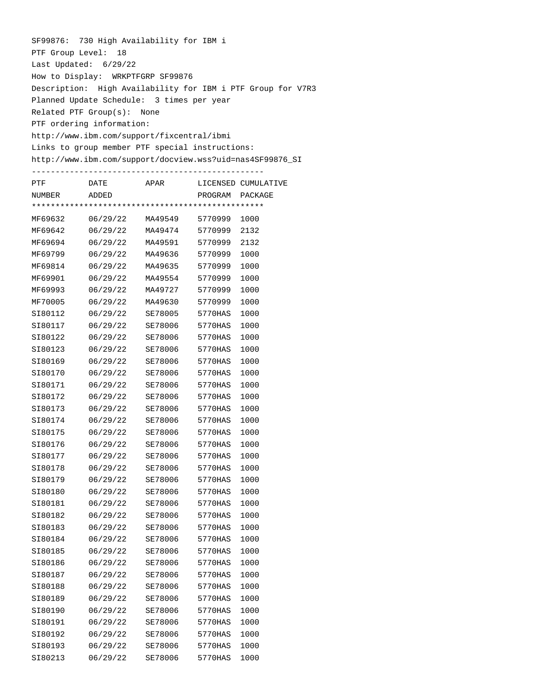SF99876: 730 High Availability for IBM i PTF Group Level: 18 Last Updated: 6/29/22 How to Display: WRKPTFGRP SF99876 Description: High Availability for IBM i PTF Group for V7R3 Planned Update Schedule: 3 times per year Related PTF Group(s): None PTF ordering information: http://www.ibm.com/support/fixcentral/ibmi Links to group member PTF special instructions: http://www.ibm.com/support/docview.wss?uid=nas4SF99876\_SI -------------------------------------------------

| PTF     | DATE     | APAR           |         | LICENSED CUMULATIVE |
|---------|----------|----------------|---------|---------------------|
| NUMBER  | ADDED    |                | PROGRAM | PACKAGE             |
|         |          |                |         |                     |
| MF69632 | 06/29/22 | MA49549        | 5770999 | 1000                |
| MF69642 | 06/29/22 | MA49474        | 5770999 | 2132                |
| MF69694 | 06/29/22 | MA49591        | 5770999 | 2132                |
| MF69799 | 06/29/22 | MA49636        | 5770999 | 1000                |
| MF69814 | 06/29/22 | MA49635        | 5770999 | 1000                |
| MF69901 | 06/29/22 | MA49554        | 5770999 | 1000                |
| MF69993 | 06/29/22 | MA49727        | 5770999 | 1000                |
| MF70005 | 06/29/22 | MA49630        | 5770999 | 1000                |
| SI80112 | 06/29/22 | SE78005        | 5770HAS | 1000                |
| SI80117 | 06/29/22 | SE78006        | 5770HAS | 1000                |
| SI80122 | 06/29/22 | <b>SE78006</b> | 5770HAS | 1000                |
| SI80123 | 06/29/22 | <b>SE78006</b> | 5770HAS | 1000                |
| SI80169 | 06/29/22 | <b>SE78006</b> | 5770HAS | 1000                |
| SI80170 | 06/29/22 | SE78006        | 5770HAS | 1000                |
| SI80171 | 06/29/22 | SE78006        | 5770HAS | 1000                |
| SI80172 | 06/29/22 | <b>SE78006</b> | 5770HAS | 1000                |
| SI80173 | 06/29/22 | SE78006        | 5770HAS | 1000                |
| SI80174 | 06/29/22 | SE78006        | 5770HAS | 1000                |
| SI80175 | 06/29/22 | <b>SE78006</b> | 5770HAS | 1000                |
| SI80176 | 06/29/22 | <b>SE78006</b> | 5770HAS | 1000                |
| SI80177 | 06/29/22 | <b>SE78006</b> | 5770HAS | 1000                |
| SI80178 | 06/29/22 | SE78006        | 5770HAS | 1000                |
| SI80179 | 06/29/22 | <b>SE78006</b> | 5770HAS | 1000                |
| SI80180 | 06/29/22 | <b>SE78006</b> | 5770HAS | 1000                |
| SI80181 | 06/29/22 | SE78006        | 5770HAS | 1000                |
| SI80182 | 06/29/22 | SE78006        | 5770HAS | 1000                |
| SI80183 | 06/29/22 | SE78006        | 5770HAS | 1000                |
| SI80184 | 06/29/22 | <b>SE78006</b> | 5770HAS | 1000                |
| SI80185 | 06/29/22 | SE78006        | 5770HAS | 1000                |
| SI80186 | 06/29/22 | SE78006        | 5770HAS | 1000                |
| SI80187 | 06/29/22 | SE78006        | 5770HAS | 1000                |
| SI80188 | 06/29/22 | SE78006        | 5770HAS | 1000                |
| SI80189 | 06/29/22 | SE78006        | 5770HAS | 1000                |
| SI80190 | 06/29/22 | SE78006        | 5770HAS | 1000                |
| SI80191 | 06/29/22 | SE78006        | 5770HAS | 1000                |
| SI80192 | 06/29/22 | SE78006        | 5770HAS | 1000                |
| SI80193 | 06/29/22 | SE78006        | 5770HAS | 1000                |
| SI80213 | 06/29/22 | SE78006        | 5770HAS | 1000                |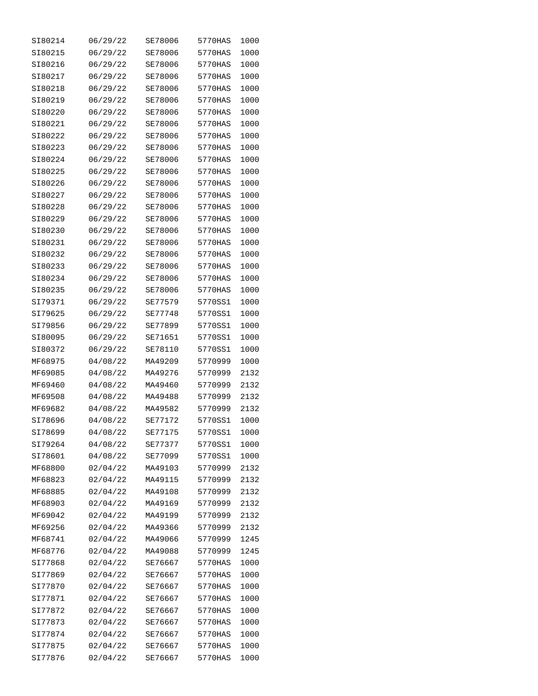| SI80214 | 06/29/22 | SE78006        | 5770HAS | 1000 |
|---------|----------|----------------|---------|------|
| SI80215 | 06/29/22 | <b>SE78006</b> | 5770HAS | 1000 |
| SI80216 | 06/29/22 | SE78006        | 5770HAS | 1000 |
| SI80217 | 06/29/22 | SE78006        | 5770HAS | 1000 |
| SI80218 | 06/29/22 | SE78006        | 5770HAS | 1000 |
| SI80219 | 06/29/22 | <b>SE78006</b> | 5770HAS | 1000 |
| SI80220 | 06/29/22 | <b>SE78006</b> | 5770HAS | 1000 |
| SI80221 | 06/29/22 | SE78006        | 5770HAS | 1000 |
| SI80222 | 06/29/22 | SE78006        | 5770HAS | 1000 |
| SI80223 | 06/29/22 | SE78006        | 5770HAS | 1000 |
| SI80224 | 06/29/22 | SE78006        | 5770HAS | 1000 |
| SI80225 | 06/29/22 | SE78006        | 5770HAS | 1000 |
| SI80226 | 06/29/22 | SE78006        | 5770HAS | 1000 |
| SI80227 | 06/29/22 | <b>SE78006</b> | 5770HAS | 1000 |
| SI80228 | 06/29/22 | SE78006        | 5770HAS | 1000 |
| SI80229 | 06/29/22 | SE78006        | 5770HAS | 1000 |
| SI80230 | 06/29/22 | SE78006        | 5770HAS | 1000 |
| SI80231 | 06/29/22 | SE78006        | 5770HAS | 1000 |
| SI80232 | 06/29/22 | SE78006        | 5770HAS | 1000 |
| SI80233 | 06/29/22 | SE78006        | 5770HAS | 1000 |
| SI80234 | 06/29/22 | SE78006        | 5770HAS | 1000 |
| SI80235 | 06/29/22 | SE78006        | 5770HAS | 1000 |
| SI79371 | 06/29/22 | SE77579        | 5770SS1 | 1000 |
| SI79625 | 06/29/22 | SE77748        | 5770SS1 | 1000 |
| SI79856 | 06/29/22 | SE77899        | 5770SS1 | 1000 |
| SI80095 | 06/29/22 | SE71651        | 5770SS1 | 1000 |
| SI80372 | 06/29/22 | SE78110        | 5770SS1 | 1000 |
| MF68975 | 04/08/22 | MA49209        | 5770999 | 1000 |
| MF69085 | 04/08/22 | MA49276        | 5770999 | 2132 |
| MF69460 | 04/08/22 | MA49460        | 5770999 | 2132 |
| MF69508 | 04/08/22 | MA49488        | 5770999 | 2132 |
| MF69682 | 04/08/22 | MA49582        | 5770999 | 2132 |
| SI78696 | 04/08/22 | SE77172        | 5770SS1 | 1000 |
| SI78699 | 04/08/22 | SE77175        | 5770SS1 | 1000 |
| SI79264 | 04/08/22 | SE77377        | 5770SS1 | 1000 |
| SI78601 | 04/08/22 | SE77099        | 5770SS1 | 1000 |
| MF68800 | 02/04/22 | MA49103        | 5770999 | 2132 |
| MF68823 | 02/04/22 | MA49115        | 5770999 | 2132 |
| MF68885 | 02/04/22 | MA49108        | 5770999 | 2132 |
| MF68903 | 02/04/22 | MA49169        | 5770999 | 2132 |
| MF69042 | 02/04/22 | MA49199        | 5770999 | 2132 |
| MF69256 | 02/04/22 | MA49366        | 5770999 | 2132 |
| MF68741 | 02/04/22 | MA49066        | 5770999 | 1245 |
| MF68776 | 02/04/22 | MA49088        | 5770999 | 1245 |
| SI77868 | 02/04/22 | SE76667        | 5770HAS | 1000 |
| SI77869 | 02/04/22 | SE76667        | 5770HAS | 1000 |
| SI77870 | 02/04/22 | SE76667        | 5770HAS | 1000 |
| SI77871 | 02/04/22 | SE76667        | 5770HAS | 1000 |
| SI77872 | 02/04/22 | SE76667        | 5770HAS | 1000 |
| SI77873 | 02/04/22 | SE76667        | 5770HAS | 1000 |
| SI77874 | 02/04/22 | SE76667        | 5770HAS | 1000 |
| SI77875 | 02/04/22 | SE76667        | 5770HAS | 1000 |
| SI77876 | 02/04/22 | SE76667        | 5770HAS | 1000 |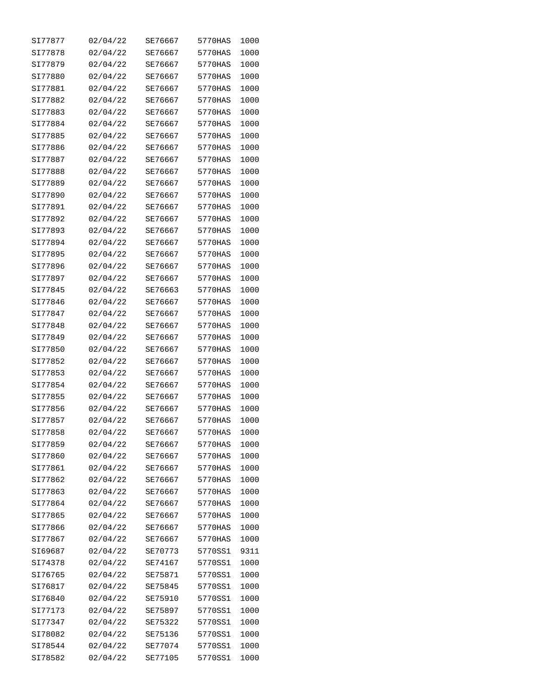| SI77877 | 02/04/22 | SE76667 | 5770HAS | 1000 |
|---------|----------|---------|---------|------|
| SI77878 | 02/04/22 | SE76667 | 5770HAS | 1000 |
| SI77879 | 02/04/22 | SE76667 | 5770HAS | 1000 |
| SI77880 | 02/04/22 | SE76667 | 5770HAS | 1000 |
| SI77881 | 02/04/22 | SE76667 | 5770HAS | 1000 |
| SI77882 | 02/04/22 | SE76667 | 5770HAS | 1000 |
| SI77883 | 02/04/22 | SE76667 | 5770HAS | 1000 |
| SI77884 | 02/04/22 | SE76667 | 5770HAS | 1000 |
| SI77885 | 02/04/22 | SE76667 | 5770HAS | 1000 |
| SI77886 | 02/04/22 | SE76667 | 5770HAS | 1000 |
| SI77887 | 02/04/22 | SE76667 | 5770HAS | 1000 |
| SI77888 | 02/04/22 | SE76667 | 5770HAS | 1000 |
| SI77889 | 02/04/22 | SE76667 | 5770HAS | 1000 |
| SI77890 | 02/04/22 | SE76667 | 5770HAS | 1000 |
| SI77891 | 02/04/22 | SE76667 | 5770HAS | 1000 |
| SI77892 | 02/04/22 | SE76667 | 5770HAS | 1000 |
| SI77893 | 02/04/22 | SE76667 | 5770HAS | 1000 |
| SI77894 | 02/04/22 | SE76667 | 5770HAS | 1000 |
| SI77895 | 02/04/22 | SE76667 | 5770HAS | 1000 |
| SI77896 | 02/04/22 | SE76667 | 5770HAS | 1000 |
| SI77897 | 02/04/22 | SE76667 | 5770HAS | 1000 |
| SI77845 | 02/04/22 | SE76663 | 5770HAS | 1000 |
| SI77846 | 02/04/22 | SE76667 | 5770HAS | 1000 |
| SI77847 | 02/04/22 | SE76667 | 5770HAS | 1000 |
| SI77848 | 02/04/22 | SE76667 | 5770HAS | 1000 |
| SI77849 | 02/04/22 | SE76667 | 5770HAS | 1000 |
| SI77850 | 02/04/22 | SE76667 | 5770HAS | 1000 |
| SI77852 | 02/04/22 | SE76667 | 5770HAS | 1000 |
| SI77853 | 02/04/22 | SE76667 | 5770HAS | 1000 |
| SI77854 | 02/04/22 | SE76667 | 5770HAS | 1000 |
| SI77855 | 02/04/22 | SE76667 | 5770HAS | 1000 |
| SI77856 | 02/04/22 | SE76667 | 5770HAS | 1000 |
| SI77857 | 02/04/22 | SE76667 | 5770HAS | 1000 |
| SI77858 | 02/04/22 | SE76667 | 5770HAS | 1000 |
| SI77859 | 02/04/22 | SE76667 | 5770HAS | 1000 |
| SI77860 | 02/04/22 | SE76667 | 5770HAS | 1000 |
| SI77861 | 02/04/22 | SE76667 | 5770HAS | 1000 |
| SI77862 | 02/04/22 | SE76667 | 5770HAS | 1000 |
| SI77863 | 02/04/22 | SE76667 | 5770HAS | 1000 |
| SI77864 | 02/04/22 | SE76667 | 5770HAS | 1000 |
| SI77865 | 02/04/22 | SE76667 | 5770HAS | 1000 |
| SI77866 | 02/04/22 | SE76667 | 5770HAS | 1000 |
| SI77867 | 02/04/22 | SE76667 | 5770HAS | 1000 |
| SI69687 | 02/04/22 | SE70773 | 5770SS1 | 9311 |
| SI74378 | 02/04/22 | SE74167 | 5770SS1 | 1000 |
| SI76765 | 02/04/22 | SE75871 | 5770SS1 | 1000 |
| SI76817 | 02/04/22 | SE75845 | 5770SS1 | 1000 |
| SI76840 | 02/04/22 | SE75910 | 5770SS1 | 1000 |
| SI77173 | 02/04/22 | SE75897 | 5770SS1 | 1000 |
| SI77347 | 02/04/22 | SE75322 | 5770SS1 | 1000 |
| SI78082 | 02/04/22 | SE75136 | 5770SS1 | 1000 |
| SI78544 | 02/04/22 | SE77074 | 5770SS1 | 1000 |
| SI78582 | 02/04/22 | SE77105 | 5770SS1 | 1000 |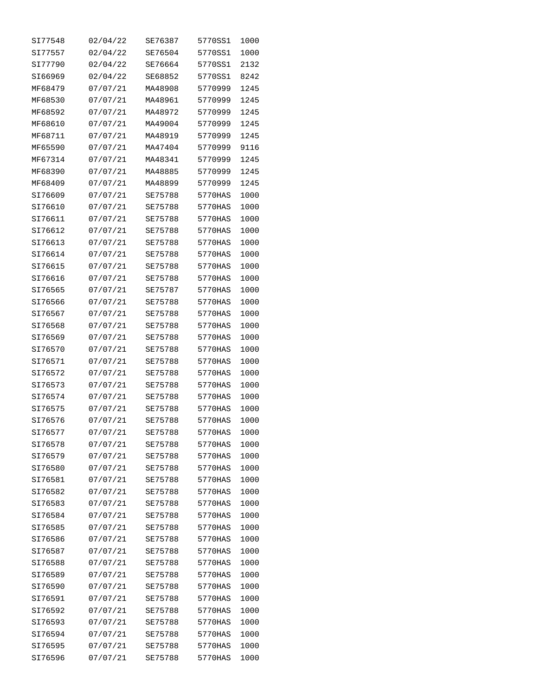| SI77548 | 02/04/22 | SE76387 | 5770SS1 | 1000 |
|---------|----------|---------|---------|------|
| SI77557 | 02/04/22 | SE76504 | 5770SS1 | 1000 |
| SI77790 | 02/04/22 | SE76664 | 5770SS1 | 2132 |
| SI66969 | 02/04/22 | SE68852 | 5770SS1 | 8242 |
| MF68479 | 07/07/21 | MA48908 | 5770999 | 1245 |
| MF68530 | 07/07/21 | MA48961 | 5770999 | 1245 |
| MF68592 | 07/07/21 | MA48972 | 5770999 | 1245 |
| MF68610 | 07/07/21 | MA49004 | 5770999 | 1245 |
| MF68711 | 07/07/21 | MA48919 | 5770999 | 1245 |
| MF65590 | 07/07/21 | MA47404 | 5770999 | 9116 |
| MF67314 | 07/07/21 | MA48341 | 5770999 | 1245 |
| MF68390 | 07/07/21 | MA48885 | 5770999 | 1245 |
| MF68409 | 07/07/21 | MA48899 | 5770999 | 1245 |
| SI76609 | 07/07/21 | SE75788 | 5770HAS | 1000 |
| SI76610 | 07/07/21 | SE75788 | 5770HAS | 1000 |
| SI76611 | 07/07/21 | SE75788 | 5770HAS | 1000 |
| SI76612 | 07/07/21 | SE75788 | 5770HAS | 1000 |
| SI76613 | 07/07/21 | SE75788 | 5770HAS | 1000 |
| SI76614 | 07/07/21 | SE75788 | 5770HAS | 1000 |
| SI76615 | 07/07/21 | SE75788 | 5770HAS | 1000 |
| SI76616 | 07/07/21 | SE75788 | 5770HAS | 1000 |
| SI76565 | 07/07/21 | SE75787 | 5770HAS | 1000 |
| SI76566 | 07/07/21 | SE75788 | 5770HAS | 1000 |
| SI76567 | 07/07/21 | SE75788 | 5770HAS | 1000 |
| SI76568 | 07/07/21 | SE75788 | 5770HAS | 1000 |
| SI76569 | 07/07/21 | SE75788 | 5770HAS | 1000 |
| SI76570 | 07/07/21 | SE75788 | 5770HAS | 1000 |
| SI76571 | 07/07/21 | SE75788 | 5770HAS | 1000 |
| SI76572 | 07/07/21 | SE75788 | 5770HAS | 1000 |
| SI76573 | 07/07/21 | SE75788 | 5770HAS | 1000 |
| SI76574 | 07/07/21 | SE75788 | 5770HAS | 1000 |
| SI76575 | 07/07/21 | SE75788 | 5770HAS | 1000 |
| SI76576 | 07/07/21 | SE75788 | 5770HAS | 1000 |
| SI76577 | 07/07/21 | SE75788 | 5770HAS | 1000 |
| SI76578 | 07/07/21 | SE75788 | 5770HAS | 1000 |
| SI76579 | 07/07/21 | SE75788 | 5770HAS | 1000 |
| SI76580 | 07/07/21 | SE75788 | 5770HAS | 1000 |
| SI76581 | 07/07/21 | SE75788 | 5770HAS | 1000 |
| SI76582 | 07/07/21 | SE75788 | 5770HAS | 1000 |
| SI76583 | 07/07/21 | SE75788 | 5770HAS | 1000 |
| SI76584 | 07/07/21 | SE75788 | 5770HAS | 1000 |
| SI76585 | 07/07/21 | SE75788 | 5770HAS | 1000 |
| SI76586 | 07/07/21 | SE75788 | 5770HAS | 1000 |
| SI76587 | 07/07/21 | SE75788 | 5770HAS | 1000 |
| SI76588 | 07/07/21 | SE75788 | 5770HAS | 1000 |
| SI76589 | 07/07/21 | SE75788 | 5770HAS | 1000 |
| SI76590 | 07/07/21 | SE75788 | 5770HAS | 1000 |
| SI76591 | 07/07/21 | SE75788 | 5770HAS | 1000 |
| SI76592 | 07/07/21 | SE75788 | 5770HAS | 1000 |
| SI76593 | 07/07/21 | SE75788 | 5770HAS | 1000 |
| SI76594 | 07/07/21 | SE75788 | 5770HAS | 1000 |
| SI76595 | 07/07/21 | SE75788 | 5770HAS | 1000 |
| SI76596 | 07/07/21 | SE75788 | 5770HAS | 1000 |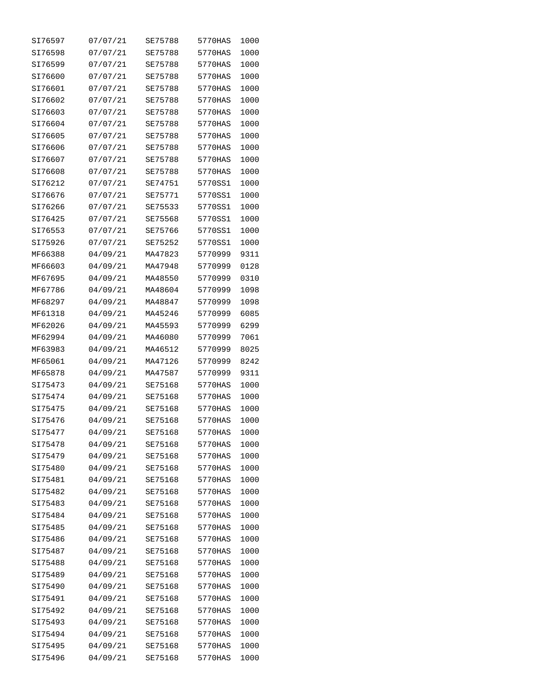| SI76597 | 07/07/21 | SE75788 | 5770HAS | 1000 |
|---------|----------|---------|---------|------|
| SI76598 | 07/07/21 | SE75788 | 5770HAS | 1000 |
| SI76599 | 07/07/21 | SE75788 | 5770HAS | 1000 |
| SI76600 | 07/07/21 | SE75788 | 5770HAS | 1000 |
| SI76601 | 07/07/21 | SE75788 | 5770HAS | 1000 |
| SI76602 | 07/07/21 | SE75788 | 5770HAS | 1000 |
| SI76603 | 07/07/21 | SE75788 | 5770HAS | 1000 |
| SI76604 | 07/07/21 | SE75788 | 5770HAS | 1000 |
| SI76605 | 07/07/21 | SE75788 | 5770HAS | 1000 |
| SI76606 | 07/07/21 | SE75788 | 5770HAS | 1000 |
| SI76607 | 07/07/21 | SE75788 | 5770HAS | 1000 |
| SI76608 | 07/07/21 | SE75788 | 5770HAS | 1000 |
| SI76212 | 07/07/21 | SE74751 | 5770SS1 | 1000 |
| SI76676 | 07/07/21 | SE75771 | 5770SS1 | 1000 |
| SI76266 | 07/07/21 | SE75533 | 5770SS1 | 1000 |
| SI76425 | 07/07/21 | SE75568 | 5770SS1 | 1000 |
| SI76553 | 07/07/21 | SE75766 | 5770SS1 | 1000 |
| SI75926 | 07/07/21 | SE75252 | 5770SS1 | 1000 |
| MF66388 | 04/09/21 | MA47823 | 5770999 | 9311 |
| MF66603 | 04/09/21 | MA47948 | 5770999 | 0128 |
| MF67695 | 04/09/21 | MA48550 | 5770999 | 0310 |
| MF67786 | 04/09/21 | MA48604 | 5770999 | 1098 |
| MF68297 | 04/09/21 | MA48847 | 5770999 | 1098 |
| MF61318 | 04/09/21 | MA45246 | 5770999 | 6085 |
| MF62026 | 04/09/21 | MA45593 | 5770999 | 6299 |
| MF62994 | 04/09/21 | MA46080 | 5770999 | 7061 |
| MF63983 | 04/09/21 | MA46512 | 5770999 | 8025 |
| MF65061 | 04/09/21 | MA47126 | 5770999 | 8242 |
| MF65878 | 04/09/21 | MA47587 | 5770999 | 9311 |
| SI75473 | 04/09/21 | SE75168 | 5770HAS | 1000 |
| SI75474 | 04/09/21 | SE75168 | 5770HAS | 1000 |
| SI75475 | 04/09/21 | SE75168 | 5770HAS | 1000 |
| SI75476 | 04/09/21 | SE75168 | 5770HAS | 1000 |
| SI75477 | 04/09/21 | SE75168 | 5770HAS | 1000 |
| SI75478 | 04/09/21 | SE75168 | 5770HAS | 1000 |
| SI75479 | 04/09/21 | SE75168 | 5770HAS | 1000 |
| SI75480 | 04/09/21 | SE75168 | 5770HAS | 1000 |
| SI75481 | 04/09/21 | SE75168 | 5770HAS | 1000 |
| SI75482 | 04/09/21 | SE75168 | 5770HAS | 1000 |
| SI75483 | 04/09/21 | SE75168 | 5770HAS | 1000 |
| SI75484 | 04/09/21 | SE75168 | 5770HAS | 1000 |
| SI75485 | 04/09/21 | SE75168 | 5770HAS | 1000 |
| SI75486 | 04/09/21 | SE75168 | 5770HAS | 1000 |
| SI75487 | 04/09/21 | SE75168 | 5770HAS | 1000 |
| SI75488 | 04/09/21 | SE75168 | 5770HAS | 1000 |
| SI75489 | 04/09/21 | SE75168 | 5770HAS | 1000 |
| SI75490 | 04/09/21 | SE75168 | 5770HAS | 1000 |
| SI75491 | 04/09/21 | SE75168 | 5770HAS | 1000 |
| SI75492 | 04/09/21 | SE75168 | 5770HAS | 1000 |
| SI75493 | 04/09/21 | SE75168 | 5770HAS | 1000 |
| SI75494 | 04/09/21 | SE75168 | 5770HAS | 1000 |
| SI75495 | 04/09/21 | SE75168 | 5770HAS | 1000 |
| SI75496 | 04/09/21 | SE75168 | 5770HAS | 1000 |
|         |          |         |         |      |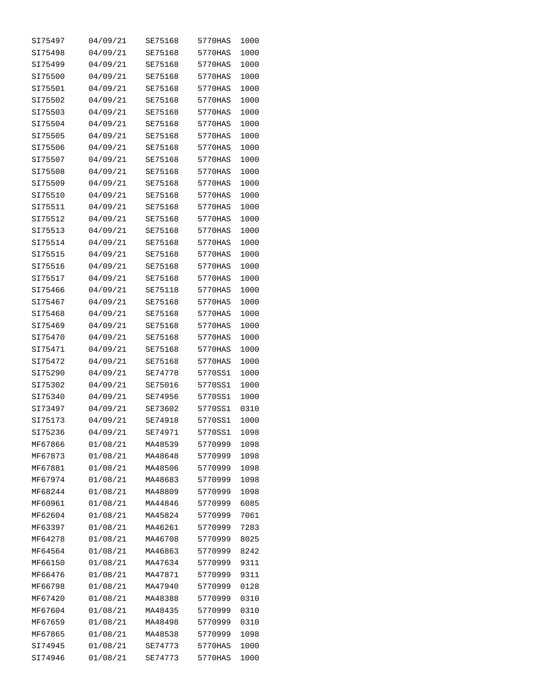| SI75497 | 04/09/21 | SE75168 | 5770HAS | 1000 |
|---------|----------|---------|---------|------|
| SI75498 | 04/09/21 | SE75168 | 5770HAS | 1000 |
| SI75499 | 04/09/21 | SE75168 | 5770HAS | 1000 |
| SI75500 | 04/09/21 | SE75168 | 5770HAS | 1000 |
| SI75501 | 04/09/21 | SE75168 | 5770HAS | 1000 |
| SI75502 | 04/09/21 | SE75168 | 5770HAS | 1000 |
| SI75503 | 04/09/21 | SE75168 | 5770HAS | 1000 |
| SI75504 | 04/09/21 | SE75168 | 5770HAS | 1000 |
| SI75505 | 04/09/21 | SE75168 | 5770HAS | 1000 |
| SI75506 | 04/09/21 | SE75168 | 5770HAS | 1000 |
| SI75507 | 04/09/21 | SE75168 | 5770HAS | 1000 |
| SI75508 | 04/09/21 | SE75168 | 5770HAS | 1000 |
| SI75509 | 04/09/21 | SE75168 | 5770HAS | 1000 |
| SI75510 | 04/09/21 | SE75168 | 5770HAS | 1000 |
| SI75511 | 04/09/21 | SE75168 | 5770HAS | 1000 |
| SI75512 | 04/09/21 | SE75168 | 5770HAS | 1000 |
|         |          | SE75168 |         |      |
| SI75513 | 04/09/21 |         | 5770HAS | 1000 |
| SI75514 | 04/09/21 | SE75168 | 5770HAS | 1000 |
| SI75515 | 04/09/21 | SE75168 | 5770HAS | 1000 |
| SI75516 | 04/09/21 | SE75168 | 5770HAS | 1000 |
| SI75517 | 04/09/21 | SE75168 | 5770HAS | 1000 |
| SI75466 | 04/09/21 | SE75118 | 5770HAS | 1000 |
| SI75467 | 04/09/21 | SE75168 | 5770HAS | 1000 |
| SI75468 | 04/09/21 | SE75168 | 5770HAS | 1000 |
| SI75469 | 04/09/21 | SE75168 | 5770HAS | 1000 |
| SI75470 | 04/09/21 | SE75168 | 5770HAS | 1000 |
| SI75471 | 04/09/21 | SE75168 | 5770HAS | 1000 |
| SI75472 | 04/09/21 | SE75168 | 5770HAS | 1000 |
| SI75290 | 04/09/21 | SE74778 | 5770SS1 | 1000 |
| SI75302 | 04/09/21 | SE75016 | 5770SS1 | 1000 |
| SI75340 | 04/09/21 | SE74956 | 5770SS1 | 1000 |
| SI73497 | 04/09/21 | SE73602 | 5770SS1 | 0310 |
| SI75173 | 04/09/21 | SE74918 | 5770SS1 | 1000 |
| SI75236 | 04/09/21 | SE74971 | 5770SS1 | 1098 |
| MF67866 | 01/08/21 | MA48539 | 5770999 | 1098 |
| MF67873 | 01/08/21 | MA48648 | 5770999 | 1098 |
| MF67881 | 01/08/21 | MA48506 | 5770999 | 1098 |
| MF67974 | 01/08/21 | MA48683 | 5770999 | 1098 |
| MF68244 | 01/08/21 | MA48809 | 5770999 | 1098 |
| MF60961 | 01/08/21 | MA44846 | 5770999 | 6085 |
| MF62604 | 01/08/21 | MA45824 | 5770999 | 7061 |
| MF63397 | 01/08/21 | MA46261 | 5770999 | 7283 |
| MF64278 | 01/08/21 | MA46708 | 5770999 | 8025 |
| MF64564 | 01/08/21 | MA46863 | 5770999 | 8242 |
| MF66150 | 01/08/21 | MA47634 | 5770999 | 9311 |
| MF66476 | 01/08/21 | MA47871 | 5770999 | 9311 |
| MF66798 | 01/08/21 | MA47940 | 5770999 | 0128 |
| MF67420 | 01/08/21 | MA48388 | 5770999 | 0310 |
| MF67604 | 01/08/21 | MA48435 | 5770999 | 0310 |
| MF67659 | 01/08/21 | MA48498 | 5770999 | 0310 |
| MF67865 | 01/08/21 | MA48538 | 5770999 | 1098 |
| SI74945 | 01/08/21 | SE74773 | 5770HAS | 1000 |
| SI74946 | 01/08/21 | SE74773 | 5770HAS | 1000 |
|         |          |         |         |      |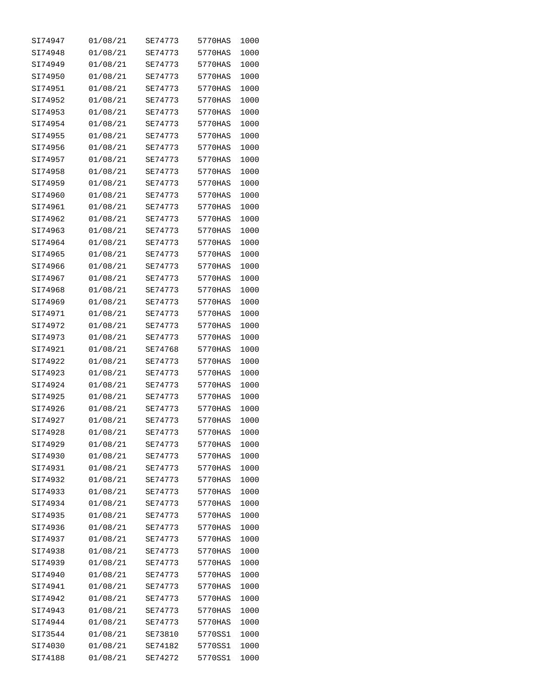| SI74947 | 01/08/21 | SE74773 | 5770HAS | 1000 |
|---------|----------|---------|---------|------|
| SI74948 | 01/08/21 | SE74773 | 5770HAS | 1000 |
| SI74949 | 01/08/21 | SE74773 | 5770HAS | 1000 |
| SI74950 | 01/08/21 | SE74773 | 5770HAS | 1000 |
| SI74951 | 01/08/21 | SE74773 | 5770HAS | 1000 |
| SI74952 | 01/08/21 | SE74773 | 5770HAS | 1000 |
| SI74953 | 01/08/21 | SE74773 | 5770HAS | 1000 |
| SI74954 | 01/08/21 | SE74773 | 5770HAS | 1000 |
| SI74955 | 01/08/21 | SE74773 | 5770HAS | 1000 |
| SI74956 | 01/08/21 | SE74773 | 5770HAS | 1000 |
| SI74957 | 01/08/21 | SE74773 | 5770HAS | 1000 |
| SI74958 | 01/08/21 | SE74773 | 5770HAS | 1000 |
| SI74959 | 01/08/21 | SE74773 | 5770HAS | 1000 |
| SI74960 | 01/08/21 | SE74773 | 5770HAS | 1000 |
| SI74961 | 01/08/21 | SE74773 | 5770HAS | 1000 |
| SI74962 | 01/08/21 | SE74773 | 5770HAS | 1000 |
| SI74963 | 01/08/21 | SE74773 | 5770HAS | 1000 |
| SI74964 | 01/08/21 | SE74773 | 5770HAS | 1000 |
| SI74965 | 01/08/21 | SE74773 | 5770HAS | 1000 |
| SI74966 | 01/08/21 | SE74773 | 5770HAS | 1000 |
| SI74967 | 01/08/21 | SE74773 | 5770HAS | 1000 |
| SI74968 | 01/08/21 | SE74773 | 5770HAS | 1000 |
| SI74969 | 01/08/21 | SE74773 | 5770HAS | 1000 |
| SI74971 | 01/08/21 | SE74773 | 5770HAS | 1000 |
| SI74972 | 01/08/21 | SE74773 | 5770HAS | 1000 |
| SI74973 | 01/08/21 | SE74773 | 5770HAS | 1000 |
| SI74921 | 01/08/21 | SE74768 | 5770HAS | 1000 |
| SI74922 | 01/08/21 | SE74773 | 5770HAS | 1000 |
| SI74923 | 01/08/21 | SE74773 | 5770HAS | 1000 |
| SI74924 | 01/08/21 | SE74773 | 5770HAS | 1000 |
| SI74925 | 01/08/21 | SE74773 | 5770HAS | 1000 |
| SI74926 | 01/08/21 | SE74773 | 5770HAS | 1000 |
| SI74927 | 01/08/21 | SE74773 | 5770HAS | 1000 |
| SI74928 | 01/08/21 | SE74773 | 5770HAS | 1000 |
| SI74929 | 01/08/21 | SE74773 | 5770HAS | 1000 |
| SI74930 | 01/08/21 | SE74773 | 5770HAS | 1000 |
| SI74931 | 01/08/21 | SE74773 | 5770HAS | 1000 |
| SI74932 | 01/08/21 | SE74773 | 5770HAS | 1000 |
| SI74933 | 01/08/21 | SE74773 | 5770HAS | 1000 |
| SI74934 | 01/08/21 | SE74773 | 5770HAS | 1000 |
| SI74935 | 01/08/21 | SE74773 | 5770HAS | 1000 |
| SI74936 | 01/08/21 | SE74773 | 5770HAS | 1000 |
| SI74937 | 01/08/21 | SE74773 | 5770HAS | 1000 |
| SI74938 | 01/08/21 | SE74773 | 5770HAS | 1000 |
| SI74939 | 01/08/21 | SE74773 | 5770HAS | 1000 |
| SI74940 | 01/08/21 | SE74773 | 5770HAS | 1000 |
| SI74941 | 01/08/21 | SE74773 | 5770HAS | 1000 |
| SI74942 | 01/08/21 | SE74773 | 5770HAS | 1000 |
| SI74943 | 01/08/21 | SE74773 | 5770HAS | 1000 |
| SI74944 | 01/08/21 | SE74773 | 5770HAS | 1000 |
| SI73544 | 01/08/21 | SE73810 | 5770SS1 | 1000 |
| SI74030 | 01/08/21 | SE74182 | 5770SS1 | 1000 |
| SI74188 | 01/08/21 | SE74272 | 5770SS1 | 1000 |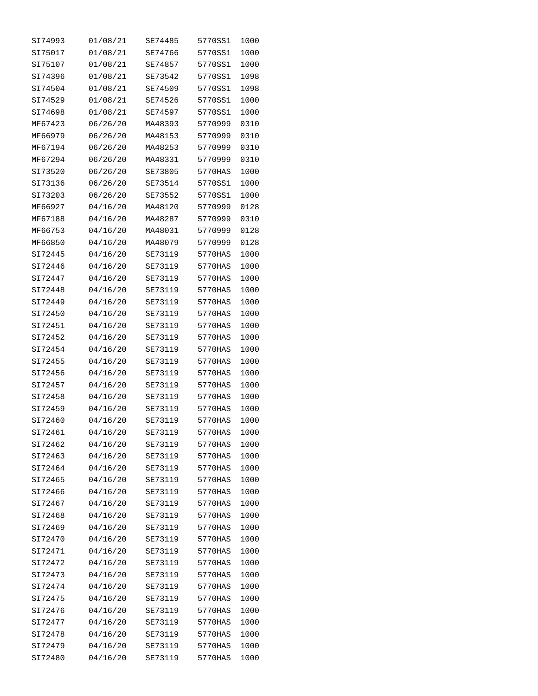| SI74993 | 01/08/21 | SE74485 | 5770SS1 | 1000 |
|---------|----------|---------|---------|------|
| SI75017 | 01/08/21 | SE74766 | 5770SS1 | 1000 |
| SI75107 | 01/08/21 | SE74857 | 5770SS1 | 1000 |
| SI74396 | 01/08/21 | SE73542 | 5770SS1 | 1098 |
| SI74504 | 01/08/21 | SE74509 | 5770SS1 | 1098 |
| SI74529 | 01/08/21 | SE74526 | 5770SS1 | 1000 |
| SI74698 | 01/08/21 | SE74597 | 5770SS1 | 1000 |
| MF67423 | 06/26/20 | MA48393 | 5770999 | 0310 |
| MF66979 | 06/26/20 | MA48153 | 5770999 | 0310 |
| MF67194 | 06/26/20 | MA48253 | 5770999 | 0310 |
| MF67294 | 06/26/20 | MA48331 | 5770999 | 0310 |
| SI73520 | 06/26/20 | SE73805 | 5770HAS | 1000 |
| SI73136 | 06/26/20 | SE73514 | 5770SS1 | 1000 |
| SI73203 | 06/26/20 | SE73552 | 5770SS1 | 1000 |
| MF66927 | 04/16/20 | MA48120 | 5770999 | 0128 |
| MF67188 | 04/16/20 | MA48287 | 5770999 | 0310 |
| MF66753 | 04/16/20 | MA48031 | 5770999 | 0128 |
| MF66850 | 04/16/20 | MA48079 | 5770999 | 0128 |
| SI72445 |          |         |         |      |
| SI72446 | 04/16/20 | SE73119 | 5770HAS | 1000 |
|         | 04/16/20 | SE73119 | 5770HAS | 1000 |
| SI72447 | 04/16/20 | SE73119 | 5770HAS | 1000 |
| SI72448 | 04/16/20 | SE73119 | 5770HAS | 1000 |
| SI72449 | 04/16/20 | SE73119 | 5770HAS | 1000 |
| SI72450 | 04/16/20 | SE73119 | 5770HAS | 1000 |
| SI72451 | 04/16/20 | SE73119 | 5770HAS | 1000 |
| SI72452 | 04/16/20 | SE73119 | 5770HAS | 1000 |
| SI72454 | 04/16/20 | SE73119 | 5770HAS | 1000 |
| SI72455 | 04/16/20 | SE73119 | 5770HAS | 1000 |
| SI72456 | 04/16/20 | SE73119 | 5770HAS | 1000 |
| SI72457 | 04/16/20 | SE73119 | 5770HAS | 1000 |
| SI72458 | 04/16/20 | SE73119 | 5770HAS | 1000 |
| SI72459 | 04/16/20 | SE73119 | 5770HAS | 1000 |
| SI72460 | 04/16/20 | SE73119 | 5770HAS | 1000 |
| SI72461 | 04/16/20 | SE73119 | 5770HAS | 1000 |
| SI72462 | 04/16/20 | SE73119 | 5770HAS | 1000 |
| SI72463 | 04/16/20 | SE73119 | 5770HAS | 1000 |
| SI72464 | 04/16/20 | SE73119 | 5770HAS | 1000 |
| SI72465 | 04/16/20 | SE73119 | 5770HAS | 1000 |
| SI72466 | 04/16/20 | SE73119 | 5770HAS | 1000 |
| SI72467 | 04/16/20 | SE73119 | 5770HAS | 1000 |
| SI72468 | 04/16/20 | SE73119 | 5770HAS | 1000 |
| SI72469 | 04/16/20 | SE73119 | 5770HAS | 1000 |
| SI72470 | 04/16/20 | SE73119 | 5770HAS | 1000 |
| SI72471 | 04/16/20 | SE73119 | 5770HAS | 1000 |
| SI72472 | 04/16/20 | SE73119 | 5770HAS | 1000 |
| SI72473 | 04/16/20 | SE73119 | 5770HAS | 1000 |
| SI72474 | 04/16/20 | SE73119 | 5770HAS | 1000 |
| SI72475 | 04/16/20 | SE73119 | 5770HAS | 1000 |
| SI72476 | 04/16/20 | SE73119 | 5770HAS | 1000 |
| SI72477 | 04/16/20 | SE73119 | 5770HAS | 1000 |
| SI72478 | 04/16/20 | SE73119 | 5770HAS | 1000 |
| SI72479 | 04/16/20 | SE73119 | 5770HAS | 1000 |
| SI72480 | 04/16/20 | SE73119 | 5770HAS | 1000 |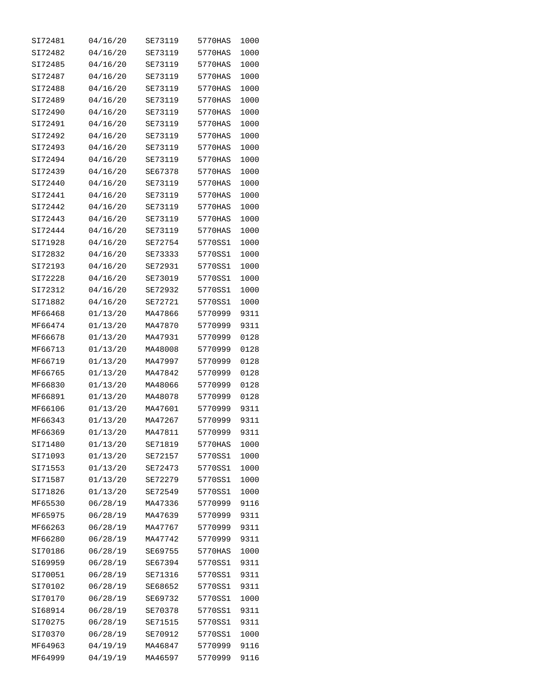| SI72481 | 04/16/20 | SE73119 | 5770HAS | 1000 |
|---------|----------|---------|---------|------|
| SI72482 | 04/16/20 | SE73119 | 5770HAS | 1000 |
| SI72485 | 04/16/20 | SE73119 | 5770HAS | 1000 |
| SI72487 | 04/16/20 | SE73119 | 5770HAS | 1000 |
| SI72488 | 04/16/20 | SE73119 | 5770HAS | 1000 |
| SI72489 | 04/16/20 | SE73119 | 5770HAS | 1000 |
| SI72490 | 04/16/20 | SE73119 | 5770HAS | 1000 |
| SI72491 | 04/16/20 | SE73119 | 5770HAS | 1000 |
| SI72492 | 04/16/20 | SE73119 | 5770HAS | 1000 |
| SI72493 | 04/16/20 | SE73119 | 5770HAS | 1000 |
| SI72494 | 04/16/20 | SE73119 | 5770HAS | 1000 |
| SI72439 | 04/16/20 | SE67378 | 5770HAS | 1000 |
| SI72440 | 04/16/20 | SE73119 | 5770HAS | 1000 |
| SI72441 | 04/16/20 | SE73119 | 5770HAS | 1000 |
| SI72442 | 04/16/20 | SE73119 | 5770HAS | 1000 |
| SI72443 | 04/16/20 | SE73119 | 5770HAS | 1000 |
| SI72444 | 04/16/20 | SE73119 | 5770HAS | 1000 |
| SI71928 | 04/16/20 | SE72754 | 5770SS1 | 1000 |
| SI72832 | 04/16/20 | SE73333 | 5770SS1 | 1000 |
| SI72193 | 04/16/20 | SE72931 | 5770SS1 | 1000 |
| SI72228 | 04/16/20 | SE73019 | 5770SS1 | 1000 |
| SI72312 | 04/16/20 | SE72932 | 5770SS1 | 1000 |
| SI71882 | 04/16/20 | SE72721 | 5770SS1 | 1000 |
| MF66468 | 01/13/20 | MA47866 | 5770999 | 9311 |
| MF66474 | 01/13/20 | MA47870 | 5770999 | 9311 |
| MF66678 | 01/13/20 | MA47931 | 5770999 | 0128 |
| MF66713 | 01/13/20 | MA48008 | 5770999 | 0128 |
| MF66719 | 01/13/20 | MA47997 | 5770999 | 0128 |
| MF66765 | 01/13/20 | MA47842 | 5770999 | 0128 |
| MF66830 | 01/13/20 | MA48066 | 5770999 | 0128 |
| MF66891 | 01/13/20 | MA48078 | 5770999 | 0128 |
| MF66106 | 01/13/20 | MA47601 | 5770999 | 9311 |
| MF66343 | 01/13/20 | MA47267 | 5770999 | 9311 |
| MF66369 | 01/13/20 | MA47811 | 5770999 | 9311 |
| SI71480 | 01/13/20 | SE71819 | 5770HAS | 1000 |
| SI71093 | 01/13/20 | SE72157 | 5770SS1 | 1000 |
| SI71553 | 01/13/20 | SE72473 | 5770SS1 | 1000 |
| SI71587 | 01/13/20 | SE72279 | 5770SS1 | 1000 |
| SI71826 | 01/13/20 | SE72549 | 5770SS1 | 1000 |
| MF65530 | 06/28/19 | MA47336 | 5770999 | 9116 |
| MF65975 | 06/28/19 | MA47639 | 5770999 | 9311 |
| MF66263 | 06/28/19 | MA47767 | 5770999 | 9311 |
| MF66280 | 06/28/19 | MA47742 | 5770999 | 9311 |
| SI70186 | 06/28/19 | SE69755 | 5770HAS | 1000 |
| SI69959 | 06/28/19 | SE67394 | 5770SS1 | 9311 |
| SI70051 | 06/28/19 | SE71316 | 5770SS1 | 9311 |
| SI70102 | 06/28/19 | SE68652 | 5770SS1 | 9311 |
| SI70170 | 06/28/19 | SE69732 | 5770SS1 | 1000 |
| SI68914 | 06/28/19 | SE70378 | 5770SS1 | 9311 |
| SI70275 | 06/28/19 | SE71515 | 5770SS1 | 9311 |
| SI70370 | 06/28/19 | SE70912 | 5770SS1 | 1000 |
| MF64963 | 04/19/19 | MA46847 | 5770999 | 9116 |
| MF64999 | 04/19/19 | MA46597 | 5770999 | 9116 |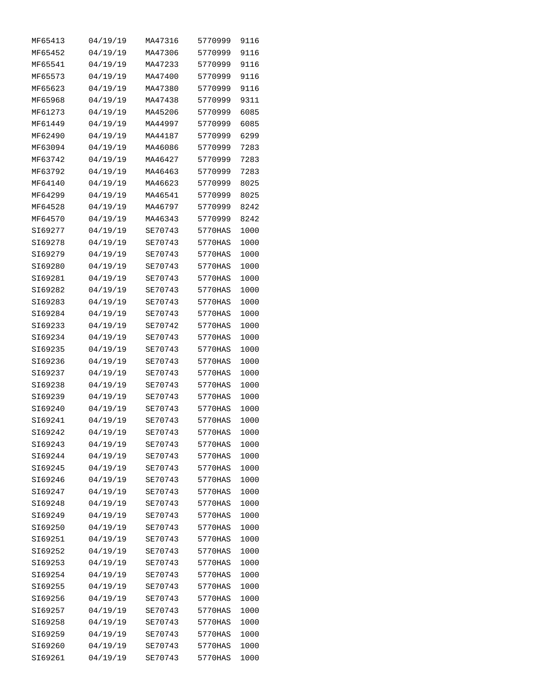| MF65413 | 04/19/19 | MA47316 | 5770999 | 9116 |
|---------|----------|---------|---------|------|
| MF65452 | 04/19/19 | MA47306 | 5770999 | 9116 |
| MF65541 | 04/19/19 | MA47233 | 5770999 | 9116 |
| MF65573 | 04/19/19 | MA47400 | 5770999 | 9116 |
| MF65623 | 04/19/19 | MA47380 | 5770999 | 9116 |
| MF65968 | 04/19/19 | MA47438 | 5770999 | 9311 |
| MF61273 | 04/19/19 | MA45206 | 5770999 | 6085 |
| MF61449 | 04/19/19 | MA44997 | 5770999 | 6085 |
| MF62490 | 04/19/19 | MA44187 | 5770999 | 6299 |
| MF63094 | 04/19/19 | MA46086 | 5770999 | 7283 |
| MF63742 | 04/19/19 | MA46427 | 5770999 | 7283 |
| MF63792 | 04/19/19 | MA46463 | 5770999 | 7283 |
| MF64140 | 04/19/19 | MA46623 | 5770999 | 8025 |
| MF64299 | 04/19/19 | MA46541 | 5770999 | 8025 |
| MF64528 | 04/19/19 | MA46797 | 5770999 | 8242 |
| MF64570 | 04/19/19 | MA46343 | 5770999 | 8242 |
| SI69277 | 04/19/19 | SE70743 | 5770HAS | 1000 |
| SI69278 | 04/19/19 | SE70743 | 5770HAS | 1000 |
| SI69279 | 04/19/19 | SE70743 | 5770HAS | 1000 |
| SI69280 | 04/19/19 | SE70743 | 5770HAS | 1000 |
| SI69281 | 04/19/19 | SE70743 | 5770HAS | 1000 |
| SI69282 | 04/19/19 | SE70743 | 5770HAS | 1000 |
| SI69283 | 04/19/19 | SE70743 | 5770HAS | 1000 |
| SI69284 | 04/19/19 | SE70743 | 5770HAS | 1000 |
| SI69233 | 04/19/19 | SE70742 | 5770HAS | 1000 |
| SI69234 | 04/19/19 | SE70743 | 5770HAS | 1000 |
| SI69235 | 04/19/19 | SE70743 | 5770HAS | 1000 |
| SI69236 | 04/19/19 | SE70743 | 5770HAS | 1000 |
| SI69237 | 04/19/19 | SE70743 | 5770HAS | 1000 |
| SI69238 | 04/19/19 | SE70743 | 5770HAS | 1000 |
| SI69239 | 04/19/19 | SE70743 | 5770HAS | 1000 |
| SI69240 | 04/19/19 | SE70743 | 5770HAS | 1000 |
| SI69241 | 04/19/19 | SE70743 | 5770HAS | 1000 |
| SI69242 | 04/19/19 | SE70743 | 5770HAS | 1000 |
| SI69243 | 04/19/19 | SE70743 | 5770HAS | 1000 |
| SI69244 | 04/19/19 | SE70743 | 5770HAS | 1000 |
| SI69245 | 04/19/19 | SE70743 | 5770HAS | 1000 |
| SI69246 | 04/19/19 | SE70743 | 5770HAS | 1000 |
| SI69247 | 04/19/19 | SE70743 | 5770HAS | 1000 |
| SI69248 | 04/19/19 | SE70743 | 5770HAS | 1000 |
| SI69249 | 04/19/19 | SE70743 | 5770HAS | 1000 |
| SI69250 | 04/19/19 | SE70743 | 5770HAS | 1000 |
| SI69251 | 04/19/19 | SE70743 | 5770HAS | 1000 |
| SI69252 | 04/19/19 | SE70743 | 5770HAS | 1000 |
| SI69253 | 04/19/19 | SE70743 | 5770HAS | 1000 |
| SI69254 | 04/19/19 | SE70743 | 5770HAS | 1000 |
| SI69255 | 04/19/19 | SE70743 | 5770HAS | 1000 |
| SI69256 | 04/19/19 | SE70743 | 5770HAS | 1000 |
| SI69257 | 04/19/19 | SE70743 | 5770HAS | 1000 |
| SI69258 | 04/19/19 | SE70743 | 5770HAS | 1000 |
| SI69259 | 04/19/19 | SE70743 | 5770HAS | 1000 |
| SI69260 | 04/19/19 | SE70743 | 5770HAS | 1000 |
| SI69261 | 04/19/19 | SE70743 | 5770HAS | 1000 |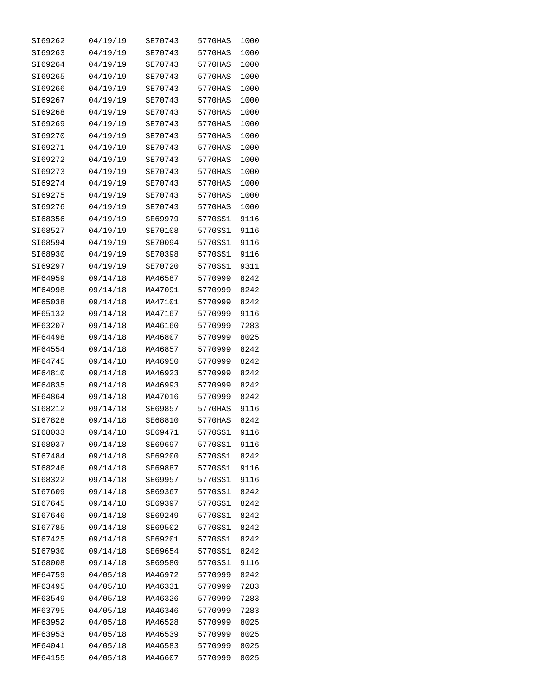| SI69262 | 04/19/19 | SE70743 | 5770HAS | 1000 |
|---------|----------|---------|---------|------|
| SI69263 | 04/19/19 | SE70743 | 5770HAS | 1000 |
| SI69264 | 04/19/19 | SE70743 | 5770HAS | 1000 |
| SI69265 | 04/19/19 | SE70743 | 5770HAS | 1000 |
| SI69266 | 04/19/19 | SE70743 | 5770HAS | 1000 |
| SI69267 | 04/19/19 | SE70743 | 5770HAS | 1000 |
| SI69268 | 04/19/19 | SE70743 | 5770HAS | 1000 |
| SI69269 | 04/19/19 | SE70743 | 5770HAS | 1000 |
| SI69270 | 04/19/19 | SE70743 | 5770HAS | 1000 |
| SI69271 | 04/19/19 | SE70743 | 5770HAS | 1000 |
| SI69272 | 04/19/19 | SE70743 | 5770HAS | 1000 |
| SI69273 | 04/19/19 | SE70743 | 5770HAS | 1000 |
| SI69274 | 04/19/19 | SE70743 | 5770HAS | 1000 |
| SI69275 | 04/19/19 | SE70743 | 5770HAS | 1000 |
| SI69276 | 04/19/19 | SE70743 | 5770HAS | 1000 |
| SI68356 | 04/19/19 | SE69979 | 5770SS1 | 9116 |
| SI68527 | 04/19/19 | SE70108 | 5770SS1 | 9116 |
| SI68594 |          |         |         | 9116 |
|         | 04/19/19 | SE70094 | 5770SS1 |      |
| SI68930 | 04/19/19 | SE70398 | 5770SS1 | 9116 |
| SI69297 | 04/19/19 | SE70720 | 5770SS1 | 9311 |
| MF64959 | 09/14/18 | MA46587 | 5770999 | 8242 |
| MF64998 | 09/14/18 | MA47091 | 5770999 | 8242 |
| MF65038 | 09/14/18 | MA47101 | 5770999 | 8242 |
| MF65132 | 09/14/18 | MA47167 | 5770999 | 9116 |
| MF63207 | 09/14/18 | MA46160 | 5770999 | 7283 |
| MF64498 | 09/14/18 | MA46807 | 5770999 | 8025 |
| MF64554 | 09/14/18 | MA46857 | 5770999 | 8242 |
| MF64745 | 09/14/18 | MA46950 | 5770999 | 8242 |
| MF64810 | 09/14/18 | MA46923 | 5770999 | 8242 |
| MF64835 | 09/14/18 | MA46993 | 5770999 | 8242 |
| MF64864 | 09/14/18 | MA47016 | 5770999 | 8242 |
| SI68212 | 09/14/18 | SE69857 | 5770HAS | 9116 |
| SI67828 | 09/14/18 | SE68810 | 5770HAS | 8242 |
| SI68033 | 09/14/18 | SE69471 | 5770SS1 | 9116 |
| SI68037 | 09/14/18 | SE69697 | 5770SS1 | 9116 |
| SI67484 | 09/14/18 | SE69200 | 5770SS1 | 8242 |
| SI68246 | 09/14/18 | SE69887 | 5770SS1 | 9116 |
| SI68322 | 09/14/18 | SE69957 | 5770SS1 | 9116 |
| SI67609 | 09/14/18 | SE69367 | 5770SS1 | 8242 |
| SI67645 | 09/14/18 | SE69397 | 5770SS1 | 8242 |
| SI67646 | 09/14/18 | SE69249 | 5770SS1 | 8242 |
| SI67785 | 09/14/18 | SE69502 | 5770SS1 | 8242 |
| SI67425 | 09/14/18 | SE69201 | 5770SS1 | 8242 |
| SI67930 | 09/14/18 | SE69654 | 5770SS1 | 8242 |
| SI68008 | 09/14/18 | SE69580 | 5770SS1 | 9116 |
| MF64759 | 04/05/18 | MA46972 | 5770999 | 8242 |
| MF63495 | 04/05/18 | MA46331 | 5770999 | 7283 |
| MF63549 | 04/05/18 | MA46326 | 5770999 | 7283 |
| MF63795 | 04/05/18 | MA46346 | 5770999 | 7283 |
| MF63952 | 04/05/18 | MA46528 | 5770999 | 8025 |
| MF63953 | 04/05/18 | MA46539 | 5770999 | 8025 |
| MF64041 | 04/05/18 | MA46583 | 5770999 | 8025 |
| MF64155 | 04/05/18 | MA46607 | 5770999 | 8025 |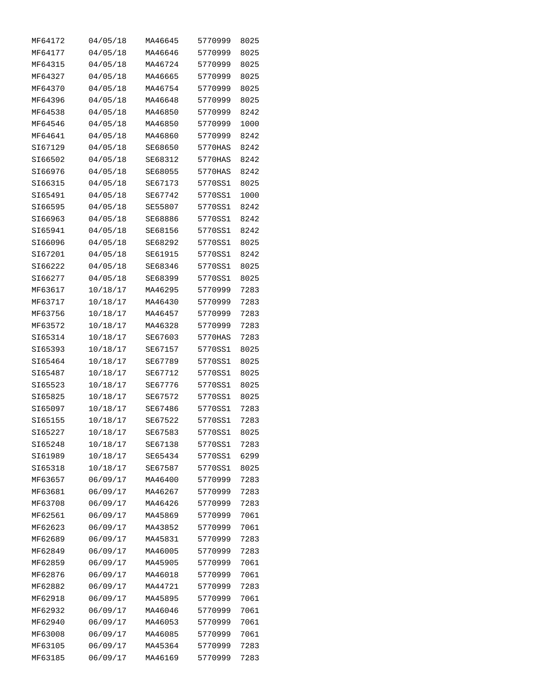| MF64172 | 04/05/18 | MA46645 | 5770999 | 8025 |
|---------|----------|---------|---------|------|
| MF64177 | 04/05/18 | MA46646 | 5770999 | 8025 |
| MF64315 | 04/05/18 | MA46724 | 5770999 | 8025 |
| MF64327 | 04/05/18 | MA46665 | 5770999 | 8025 |
| MF64370 | 04/05/18 | MA46754 | 5770999 | 8025 |
| MF64396 | 04/05/18 | MA46648 | 5770999 | 8025 |
| MF64538 | 04/05/18 | MA46850 | 5770999 | 8242 |
| MF64546 | 04/05/18 | MA46850 | 5770999 | 1000 |
| MF64641 | 04/05/18 | MA46860 | 5770999 | 8242 |
| SI67129 | 04/05/18 | SE68650 | 5770HAS | 8242 |
| SI66502 | 04/05/18 | SE68312 | 5770HAS | 8242 |
| SI66976 | 04/05/18 | SE68055 | 5770HAS | 8242 |
| SI66315 | 04/05/18 | SE67173 | 5770SS1 | 8025 |
| SI65491 | 04/05/18 | SE67742 | 5770SS1 | 1000 |
| SI66595 | 04/05/18 | SE55807 | 5770SS1 | 8242 |
| SI66963 | 04/05/18 | SE68886 | 5770SS1 | 8242 |
| SI65941 | 04/05/18 | SE68156 | 5770SS1 | 8242 |
| SI66096 | 04/05/18 | SE68292 | 5770SS1 | 8025 |
| SI67201 | 04/05/18 | SE61915 | 5770SS1 | 8242 |
| SI66222 | 04/05/18 | SE68346 | 5770SS1 | 8025 |
| SI66277 | 04/05/18 | SE68399 | 5770SS1 | 8025 |
|         |          | MA46295 |         |      |
| MF63617 | 10/18/17 |         | 5770999 | 7283 |
| MF63717 | 10/18/17 | MA46430 | 5770999 | 7283 |
| MF63756 | 10/18/17 | MA46457 | 5770999 | 7283 |
| MF63572 | 10/18/17 | MA46328 | 5770999 | 7283 |
| SI65314 | 10/18/17 | SE67603 | 5770HAS | 7283 |
| SI65393 | 10/18/17 | SE67157 | 5770SS1 | 8025 |
| SI65464 | 10/18/17 | SE67789 | 5770SS1 | 8025 |
| SI65487 | 10/18/17 | SE67712 | 5770SS1 | 8025 |
| SI65523 | 10/18/17 | SE67776 | 5770SS1 | 8025 |
| SI65825 | 10/18/17 | SE67572 | 5770SS1 | 8025 |
| SI65097 | 10/18/17 | SE67486 | 5770SS1 | 7283 |
| SI65155 | 10/18/17 | SE67522 | 5770SS1 | 7283 |
| SI65227 | 10/18/17 | SE67583 | 5770SS1 | 8025 |
| SI65248 | 10/18/17 | SE67138 | 5770SS1 | 7283 |
| SI61989 | 10/18/17 | SE65434 | 5770SS1 | 6299 |
| SI65318 | 10/18/17 | SE67587 | 5770SS1 | 8025 |
| MF63657 | 06/09/17 | MA46400 | 5770999 | 7283 |
| MF63681 | 06/09/17 | MA46267 | 5770999 | 7283 |
| MF63708 | 06/09/17 | MA46426 | 5770999 | 7283 |
| MF62561 | 06/09/17 | MA45869 | 5770999 | 7061 |
| MF62623 | 06/09/17 | MA43852 | 5770999 | 7061 |
| MF62689 | 06/09/17 | MA45831 | 5770999 | 7283 |
| MF62849 | 06/09/17 | MA46005 | 5770999 | 7283 |
| MF62859 | 06/09/17 | MA45905 | 5770999 | 7061 |
| MF62876 | 06/09/17 | MA46018 | 5770999 | 7061 |
| MF62882 | 06/09/17 | MA44721 | 5770999 | 7283 |
| MF62918 | 06/09/17 | MA45895 | 5770999 | 7061 |
| MF62932 | 06/09/17 | MA46046 | 5770999 | 7061 |
| MF62940 | 06/09/17 | MA46053 | 5770999 | 7061 |
| MF63008 | 06/09/17 | MA46085 | 5770999 | 7061 |
| MF63105 | 06/09/17 | MA45364 | 5770999 | 7283 |
| MF63185 | 06/09/17 | MA46169 | 5770999 | 7283 |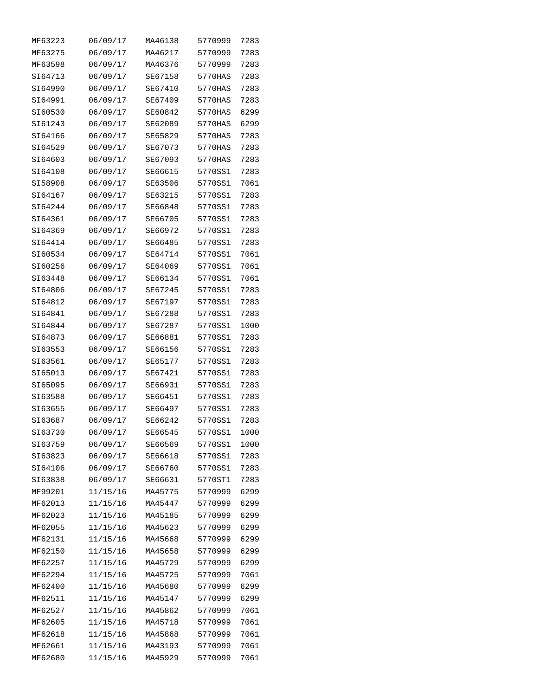| MF63223 | 06/09/17 | MA46138 | 5770999 | 7283 |
|---------|----------|---------|---------|------|
| MF63275 | 06/09/17 | MA46217 | 5770999 | 7283 |
| MF63598 | 06/09/17 | MA46376 | 5770999 | 7283 |
| SI64713 | 06/09/17 | SE67158 | 5770HAS | 7283 |
| SI64990 | 06/09/17 | SE67410 | 5770HAS | 7283 |
| SI64991 | 06/09/17 | SE67409 | 5770HAS | 7283 |
| SI60530 | 06/09/17 | SE60842 | 5770HAS | 6299 |
| SI61243 | 06/09/17 | SE62089 | 5770HAS | 6299 |
| SI64166 | 06/09/17 | SE65829 | 5770HAS | 7283 |
| SI64529 | 06/09/17 | SE67073 | 5770HAS | 7283 |
| SI64603 | 06/09/17 | SE67093 | 5770HAS | 7283 |
| SI64108 | 06/09/17 | SE66615 | 5770SS1 | 7283 |
| SI58908 | 06/09/17 | SE63506 | 5770SS1 | 7061 |
| SI64167 | 06/09/17 | SE63215 | 5770SS1 | 7283 |
| SI64244 | 06/09/17 | SE66848 | 5770SS1 | 7283 |
| SI64361 | 06/09/17 | SE66705 | 5770SS1 | 7283 |
| SI64369 | 06/09/17 | SE66972 | 5770SS1 | 7283 |
| SI64414 | 06/09/17 | SE66485 | 5770SS1 | 7283 |
| SI60534 | 06/09/17 | SE64714 | 5770SS1 | 7061 |
| SI60256 | 06/09/17 | SE64069 | 5770SS1 | 7061 |
| SI63448 | 06/09/17 | SE66134 | 5770SS1 | 7061 |
| SI64806 | 06/09/17 | SE67245 | 5770SS1 | 7283 |
| SI64812 | 06/09/17 | SE67197 | 5770SS1 | 7283 |
| SI64841 | 06/09/17 | SE67288 | 5770SS1 | 7283 |
| SI64844 | 06/09/17 | SE67287 | 5770SS1 | 1000 |
| SI64873 | 06/09/17 | SE66881 | 5770SS1 | 7283 |
| SI63553 | 06/09/17 | SE66156 | 5770SS1 | 7283 |
| SI63561 | 06/09/17 | SE65177 | 5770SS1 | 7283 |
| SI65013 | 06/09/17 | SE67421 | 5770SS1 | 7283 |
| SI65095 | 06/09/17 | SE66931 | 5770SS1 | 7283 |
| SI63588 | 06/09/17 | SE66451 | 5770SS1 | 7283 |
| SI63655 | 06/09/17 | SE66497 | 5770SS1 | 7283 |
| SI63687 | 06/09/17 | SE66242 | 5770SS1 | 7283 |
| SI63730 | 06/09/17 | SE66545 | 5770SS1 | 1000 |
| SI63759 | 06/09/17 | SE66569 | 5770SS1 | 1000 |
| SI63823 | 06/09/17 | SE66618 | 5770SS1 | 7283 |
| SI64106 | 06/09/17 | SE66760 | 5770SS1 | 7283 |
| SI63838 | 06/09/17 | SE66631 | 5770ST1 | 7283 |
| MF99201 | 11/15/16 | MA45775 | 5770999 | 6299 |
| MF62013 | 11/15/16 | MA45447 | 5770999 | 6299 |
| MF62023 | 11/15/16 | MA45185 | 5770999 | 6299 |
| MF62055 | 11/15/16 | MA45623 | 5770999 | 6299 |
| MF62131 | 11/15/16 | MA45668 | 5770999 | 6299 |
| MF62150 | 11/15/16 | MA45658 | 5770999 | 6299 |
| MF62257 | 11/15/16 | MA45729 | 5770999 | 6299 |
| MF62294 | 11/15/16 | MA45725 | 5770999 | 7061 |
| MF62400 | 11/15/16 | MA45680 | 5770999 | 6299 |
| MF62511 | 11/15/16 | MA45147 | 5770999 | 6299 |
| MF62527 | 11/15/16 | MA45862 | 5770999 | 7061 |
| MF62605 | 11/15/16 | MA45718 | 5770999 | 7061 |
| MF62618 | 11/15/16 | MA45868 | 5770999 | 7061 |
| MF62661 | 11/15/16 | MA43193 | 5770999 | 7061 |
| MF62680 | 11/15/16 | MA45929 | 5770999 | 7061 |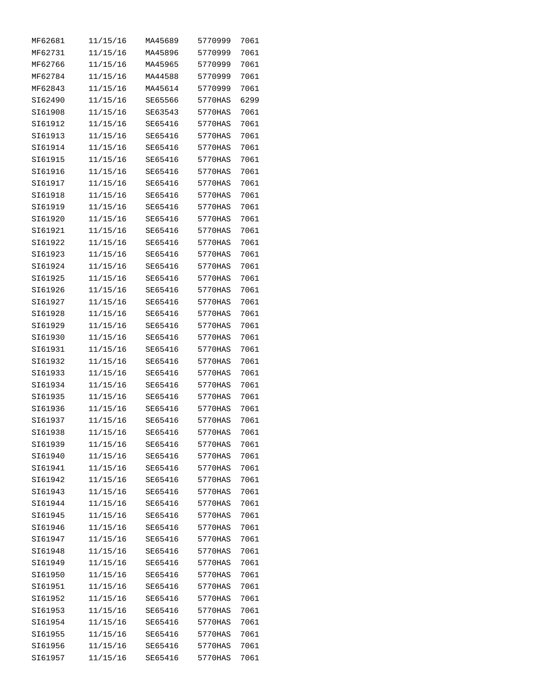| MF62681 | 11/15/16 | MA45689 | 5770999 | 7061 |
|---------|----------|---------|---------|------|
| MF62731 | 11/15/16 | MA45896 | 5770999 | 7061 |
| MF62766 | 11/15/16 | MA45965 | 5770999 | 7061 |
| MF62784 | 11/15/16 | MA44588 | 5770999 | 7061 |
| MF62843 | 11/15/16 | MA45614 | 5770999 | 7061 |
| SI62490 | 11/15/16 | SE65566 | 5770HAS | 6299 |
| SI61908 | 11/15/16 | SE63543 | 5770HAS | 7061 |
| SI61912 | 11/15/16 | SE65416 | 5770HAS | 7061 |
| SI61913 | 11/15/16 | SE65416 | 5770HAS | 7061 |
| SI61914 | 11/15/16 | SE65416 | 5770HAS | 7061 |
| SI61915 | 11/15/16 | SE65416 | 5770HAS | 7061 |
| SI61916 | 11/15/16 | SE65416 | 5770HAS | 7061 |
| SI61917 | 11/15/16 | SE65416 | 5770HAS | 7061 |
| SI61918 | 11/15/16 | SE65416 | 5770HAS | 7061 |
| SI61919 | 11/15/16 | SE65416 | 5770HAS | 7061 |
| SI61920 | 11/15/16 | SE65416 | 5770HAS | 7061 |
| SI61921 | 11/15/16 | SE65416 | 5770HAS | 7061 |
| SI61922 | 11/15/16 | SE65416 | 5770HAS | 7061 |
| SI61923 | 11/15/16 | SE65416 | 5770HAS | 7061 |
| SI61924 | 11/15/16 | SE65416 | 5770HAS | 7061 |
| SI61925 | 11/15/16 | SE65416 | 5770HAS | 7061 |
| SI61926 | 11/15/16 | SE65416 | 5770HAS | 7061 |
| SI61927 | 11/15/16 | SE65416 | 5770HAS | 7061 |
| SI61928 | 11/15/16 | SE65416 | 5770HAS | 7061 |
| SI61929 | 11/15/16 | SE65416 | 5770HAS | 7061 |
| SI61930 | 11/15/16 | SE65416 | 5770HAS | 7061 |
| SI61931 | 11/15/16 | SE65416 | 5770HAS | 7061 |
| SI61932 | 11/15/16 | SE65416 | 5770HAS | 7061 |
| SI61933 | 11/15/16 | SE65416 | 5770HAS | 7061 |
| SI61934 | 11/15/16 | SE65416 | 5770HAS | 7061 |
| SI61935 | 11/15/16 | SE65416 | 5770HAS | 7061 |
| SI61936 | 11/15/16 | SE65416 | 5770HAS | 7061 |
| SI61937 | 11/15/16 | SE65416 | 5770HAS | 7061 |
| SI61938 | 11/15/16 | SE65416 | 5770HAS | 7061 |
| SI61939 | 11/15/16 | SE65416 | 5770HAS | 7061 |
| SI61940 | 11/15/16 | SE65416 | 5770HAS | 7061 |
| SI61941 | 11/15/16 | SE65416 | 5770HAS | 7061 |
| SI61942 | 11/15/16 | SE65416 | 5770HAS | 7061 |
| SI61943 | 11/15/16 | SE65416 | 5770HAS | 7061 |
| SI61944 | 11/15/16 | SE65416 | 5770HAS | 7061 |
| SI61945 | 11/15/16 | SE65416 | 5770HAS | 7061 |
| SI61946 | 11/15/16 | SE65416 | 5770HAS | 7061 |
| SI61947 | 11/15/16 | SE65416 | 5770HAS | 7061 |
| SI61948 | 11/15/16 | SE65416 | 5770HAS | 7061 |
| SI61949 | 11/15/16 | SE65416 | 5770HAS | 7061 |
| SI61950 | 11/15/16 | SE65416 | 5770HAS | 7061 |
| SI61951 | 11/15/16 | SE65416 | 5770HAS | 7061 |
| SI61952 | 11/15/16 | SE65416 | 5770HAS | 7061 |
| SI61953 | 11/15/16 | SE65416 | 5770HAS | 7061 |
| SI61954 | 11/15/16 | SE65416 | 5770HAS | 7061 |
| SI61955 | 11/15/16 | SE65416 | 5770HAS | 7061 |
| SI61956 | 11/15/16 | SE65416 | 5770HAS | 7061 |
| SI61957 | 11/15/16 | SE65416 | 5770HAS | 7061 |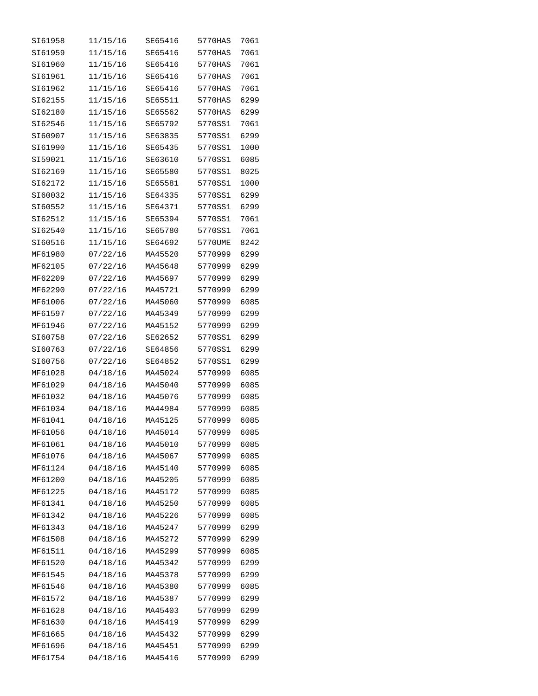| SI61958 | 11/15/16 | SE65416 | 5770HAS | 7061 |
|---------|----------|---------|---------|------|
| SI61959 | 11/15/16 | SE65416 | 5770HAS | 7061 |
| SI61960 | 11/15/16 | SE65416 | 5770HAS | 7061 |
| SI61961 | 11/15/16 | SE65416 | 5770HAS | 7061 |
| SI61962 | 11/15/16 | SE65416 | 5770HAS | 7061 |
| SI62155 | 11/15/16 | SE65511 | 5770HAS | 6299 |
| SI62180 | 11/15/16 | SE65562 | 5770HAS | 6299 |
| SI62546 | 11/15/16 | SE65792 | 5770SS1 | 7061 |
| SI60907 | 11/15/16 | SE63835 | 5770SS1 | 6299 |
| SI61990 | 11/15/16 | SE65435 | 5770SS1 | 1000 |
| SI59021 | 11/15/16 | SE63610 | 5770SS1 | 6085 |
| SI62169 | 11/15/16 | SE65580 | 5770SS1 | 8025 |
| SI62172 | 11/15/16 | SE65581 | 5770SS1 | 1000 |
| SI60032 | 11/15/16 | SE64335 | 5770SS1 | 6299 |
| SI60552 | 11/15/16 | SE64371 | 5770SS1 | 6299 |
| SI62512 | 11/15/16 | SE65394 | 5770SS1 | 7061 |
| SI62540 | 11/15/16 | SE65780 | 5770SS1 | 7061 |
| SI60516 | 11/15/16 | SE64692 | 5770UME | 8242 |
| MF61980 | 07/22/16 | MA45520 | 5770999 | 6299 |
| MF62105 | 07/22/16 | MA45648 | 5770999 | 6299 |
| MF62209 | 07/22/16 | MA45697 | 5770999 | 6299 |
| MF62290 | 07/22/16 | MA45721 | 5770999 | 6299 |
| MF61006 | 07/22/16 | MA45060 | 5770999 | 6085 |
| MF61597 | 07/22/16 | MA45349 | 5770999 | 6299 |
| MF61946 | 07/22/16 | MA45152 | 5770999 | 6299 |
| SI60758 | 07/22/16 | SE62652 | 5770SS1 | 6299 |
| SI60763 | 07/22/16 | SE64856 | 5770SS1 | 6299 |
| SI60756 | 07/22/16 | SE64852 | 5770SS1 | 6299 |
| MF61028 | 04/18/16 | MA45024 | 5770999 | 6085 |
| MF61029 | 04/18/16 | MA45040 | 5770999 | 6085 |
| MF61032 | 04/18/16 | MA45076 | 5770999 | 6085 |
| MF61034 | 04/18/16 | MA44984 | 5770999 | 6085 |
| MF61041 | 04/18/16 | MA45125 | 5770999 | 6085 |
| MF61056 | 04/18/16 | MA45014 | 5770999 | 6085 |
| MF61061 | 04/18/16 | MA45010 | 5770999 | 6085 |
| MF61076 | 04/18/16 | MA45067 | 5770999 | 6085 |
| MF61124 | 04/18/16 | MA45140 | 5770999 | 6085 |
| MF61200 | 04/18/16 | MA45205 | 5770999 | 6085 |
| MF61225 | 04/18/16 | MA45172 | 5770999 | 6085 |
| MF61341 | 04/18/16 | MA45250 | 5770999 | 6085 |
| MF61342 | 04/18/16 | MA45226 | 5770999 | 6085 |
| MF61343 | 04/18/16 | MA45247 | 5770999 | 6299 |
| MF61508 | 04/18/16 | MA45272 | 5770999 | 6299 |
| MF61511 | 04/18/16 | MA45299 | 5770999 | 6085 |
| MF61520 | 04/18/16 | MA45342 | 5770999 | 6299 |
| MF61545 | 04/18/16 | MA45378 | 5770999 | 6299 |
| MF61546 | 04/18/16 | MA45380 | 5770999 | 6085 |
| MF61572 | 04/18/16 | MA45387 | 5770999 | 6299 |
| MF61628 | 04/18/16 | MA45403 | 5770999 | 6299 |
| MF61630 | 04/18/16 | MA45419 | 5770999 | 6299 |
| MF61665 | 04/18/16 | MA45432 | 5770999 | 6299 |
| MF61696 | 04/18/16 | MA45451 | 5770999 | 6299 |
| MF61754 | 04/18/16 | MA45416 | 5770999 | 6299 |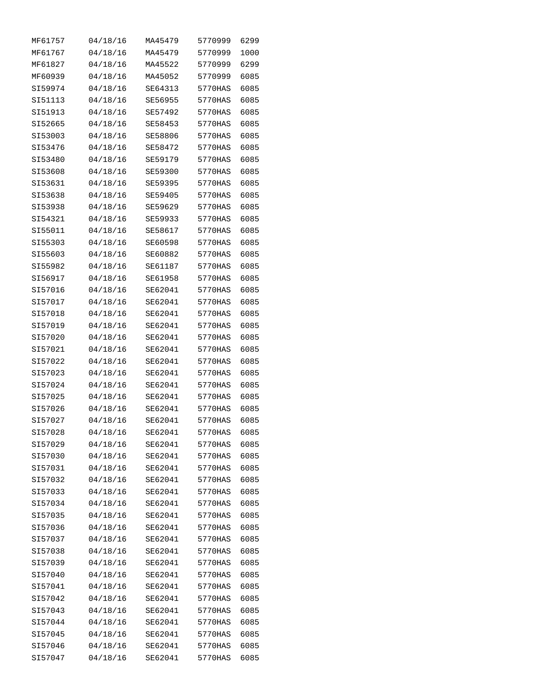| MF61757 | 04/18/16 | MA45479 | 5770999 | 6299 |
|---------|----------|---------|---------|------|
| MF61767 | 04/18/16 | MA45479 | 5770999 | 1000 |
| MF61827 | 04/18/16 | MA45522 | 5770999 | 6299 |
| MF60939 | 04/18/16 | MA45052 | 5770999 | 6085 |
| SI59974 | 04/18/16 | SE64313 | 5770HAS | 6085 |
| SI51113 | 04/18/16 | SE56955 | 5770HAS | 6085 |
| SI51913 | 04/18/16 | SE57492 | 5770HAS | 6085 |
| SI52665 | 04/18/16 | SE58453 | 5770HAS | 6085 |
| SI53003 | 04/18/16 | SE58806 | 5770HAS | 6085 |
| SI53476 | 04/18/16 | SE58472 | 5770HAS | 6085 |
| SI53480 | 04/18/16 | SE59179 | 5770HAS | 6085 |
| SI53608 | 04/18/16 | SE59300 | 5770HAS | 6085 |
| SI53631 | 04/18/16 | SE59395 | 5770HAS | 6085 |
| SI53638 | 04/18/16 | SE59405 | 5770HAS | 6085 |
| SI53938 | 04/18/16 | SE59629 | 5770HAS | 6085 |
| SI54321 | 04/18/16 | SE59933 | 5770HAS | 6085 |
| SI55011 | 04/18/16 | SE58617 | 5770HAS | 6085 |
| SI55303 | 04/18/16 | SE60598 | 5770HAS | 6085 |
| SI55603 | 04/18/16 | SE60882 | 5770HAS | 6085 |
| SI55982 | 04/18/16 | SE61187 | 5770HAS | 6085 |
| SI56917 | 04/18/16 | SE61958 | 5770HAS | 6085 |
| SI57016 | 04/18/16 | SE62041 | 5770HAS | 6085 |
| SI57017 | 04/18/16 | SE62041 | 5770HAS | 6085 |
| SI57018 | 04/18/16 | SE62041 | 5770HAS | 6085 |
| SI57019 | 04/18/16 | SE62041 | 5770HAS | 6085 |
| SI57020 | 04/18/16 | SE62041 | 5770HAS | 6085 |
| SI57021 | 04/18/16 | SE62041 | 5770HAS | 6085 |
| SI57022 | 04/18/16 | SE62041 | 5770HAS | 6085 |
| SI57023 | 04/18/16 | SE62041 | 5770HAS | 6085 |
| SI57024 | 04/18/16 | SE62041 | 5770HAS | 6085 |
| SI57025 | 04/18/16 | SE62041 | 5770HAS | 6085 |
| SI57026 | 04/18/16 | SE62041 | 5770HAS | 6085 |
| SI57027 | 04/18/16 | SE62041 | 5770HAS | 6085 |
| SI57028 | 04/18/16 | SE62041 | 5770HAS | 6085 |
| SI57029 | 04/18/16 | SE62041 | 5770HAS | 6085 |
| SI57030 | 04/18/16 | SE62041 | 5770HAS | 6085 |
| SI57031 | 04/18/16 | SE62041 | 5770HAS | 6085 |
| SI57032 | 04/18/16 | SE62041 | 5770HAS | 6085 |
| SI57033 | 04/18/16 | SE62041 | 5770HAS | 6085 |
| SI57034 | 04/18/16 | SE62041 | 5770HAS | 6085 |
| SI57035 | 04/18/16 | SE62041 | 5770HAS | 6085 |
| SI57036 | 04/18/16 | SE62041 | 5770HAS | 6085 |
| SI57037 | 04/18/16 | SE62041 | 5770HAS | 6085 |
| SI57038 | 04/18/16 | SE62041 | 5770HAS | 6085 |
| SI57039 | 04/18/16 | SE62041 | 5770HAS | 6085 |
| SI57040 | 04/18/16 | SE62041 | 5770HAS | 6085 |
| SI57041 | 04/18/16 | SE62041 | 5770HAS | 6085 |
| SI57042 | 04/18/16 | SE62041 | 5770HAS | 6085 |
| SI57043 | 04/18/16 | SE62041 | 5770HAS | 6085 |
| SI57044 | 04/18/16 | SE62041 | 5770HAS | 6085 |
| SI57045 | 04/18/16 | SE62041 | 5770HAS | 6085 |
| SI57046 | 04/18/16 | SE62041 | 5770HAS | 6085 |
| SI57047 | 04/18/16 | SE62041 | 5770HAS | 6085 |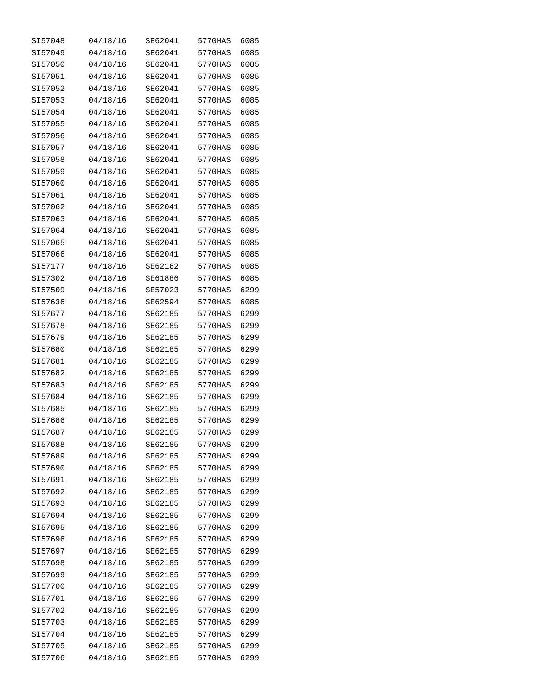| SI57048 | 04/18/16 | SE62041 | 5770HAS | 6085 |
|---------|----------|---------|---------|------|
| SI57049 | 04/18/16 | SE62041 | 5770HAS | 6085 |
| SI57050 | 04/18/16 | SE62041 | 5770HAS | 6085 |
| SI57051 | 04/18/16 | SE62041 | 5770HAS | 6085 |
| SI57052 | 04/18/16 | SE62041 | 5770HAS | 6085 |
| SI57053 | 04/18/16 | SE62041 | 5770HAS | 6085 |
| SI57054 | 04/18/16 | SE62041 | 5770HAS | 6085 |
| SI57055 | 04/18/16 | SE62041 | 5770HAS | 6085 |
| SI57056 | 04/18/16 | SE62041 | 5770HAS | 6085 |
| SI57057 | 04/18/16 | SE62041 | 5770HAS | 6085 |
| SI57058 | 04/18/16 | SE62041 | 5770HAS | 6085 |
| SI57059 | 04/18/16 | SE62041 | 5770HAS | 6085 |
| SI57060 | 04/18/16 | SE62041 | 5770HAS | 6085 |
| SI57061 | 04/18/16 | SE62041 | 5770HAS | 6085 |
| SI57062 | 04/18/16 | SE62041 | 5770HAS | 6085 |
| SI57063 | 04/18/16 | SE62041 | 5770HAS | 6085 |
| SI57064 | 04/18/16 | SE62041 | 5770HAS | 6085 |
| SI57065 | 04/18/16 | SE62041 | 5770HAS | 6085 |
| SI57066 | 04/18/16 | SE62041 | 5770HAS | 6085 |
| SI57177 | 04/18/16 | SE62162 | 5770HAS | 6085 |
| SI57302 | 04/18/16 | SE61886 | 5770HAS | 6085 |
| SI57509 | 04/18/16 | SE57023 | 5770HAS | 6299 |
| SI57636 | 04/18/16 | SE62594 | 5770HAS | 6085 |
| SI57677 | 04/18/16 | SE62185 | 5770HAS | 6299 |
| SI57678 | 04/18/16 | SE62185 | 5770HAS | 6299 |
| SI57679 | 04/18/16 | SE62185 | 5770HAS | 6299 |
| SI57680 | 04/18/16 | SE62185 | 5770HAS | 6299 |
| SI57681 | 04/18/16 | SE62185 | 5770HAS | 6299 |
| SI57682 | 04/18/16 | SE62185 | 5770HAS | 6299 |
| SI57683 | 04/18/16 | SE62185 | 5770HAS | 6299 |
| SI57684 | 04/18/16 | SE62185 | 5770HAS | 6299 |
| SI57685 | 04/18/16 | SE62185 | 5770HAS | 6299 |
| SI57686 | 04/18/16 | SE62185 | 5770HAS | 6299 |
| SI57687 | 04/18/16 | SE62185 | 5770HAS | 6299 |
| SI57688 | 04/18/16 | SE62185 | 5770HAS | 6299 |
| SI57689 | 04/18/16 | SE62185 | 5770HAS | 6299 |
| SI57690 | 04/18/16 | SE62185 | 5770HAS | 6299 |
| SI57691 | 04/18/16 | SE62185 | 5770HAS | 6299 |
| SI57692 | 04/18/16 | SE62185 | 5770HAS | 6299 |
| SI57693 | 04/18/16 | SE62185 | 5770HAS | 6299 |
| SI57694 | 04/18/16 | SE62185 | 5770HAS | 6299 |
| SI57695 | 04/18/16 | SE62185 | 5770HAS | 6299 |
| SI57696 | 04/18/16 | SE62185 | 5770HAS | 6299 |
| SI57697 | 04/18/16 | SE62185 | 5770HAS | 6299 |
| SI57698 | 04/18/16 | SE62185 | 5770HAS | 6299 |
| SI57699 | 04/18/16 | SE62185 | 5770HAS | 6299 |
| SI57700 | 04/18/16 | SE62185 | 5770HAS | 6299 |
| SI57701 | 04/18/16 | SE62185 | 5770HAS | 6299 |
| SI57702 | 04/18/16 | SE62185 | 5770HAS | 6299 |
| SI57703 | 04/18/16 | SE62185 | 5770HAS | 6299 |
| SI57704 | 04/18/16 | SE62185 | 5770HAS | 6299 |
| SI57705 | 04/18/16 | SE62185 | 5770HAS | 6299 |
| SI57706 | 04/18/16 | SE62185 | 5770HAS | 6299 |